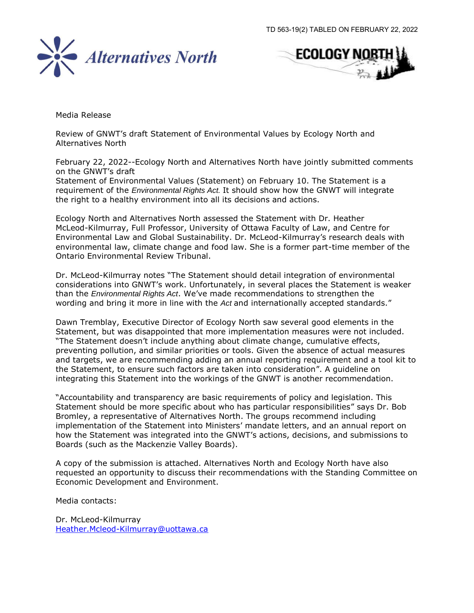



Media Release

Review of GNWT's draft Statement of Environmental Values by Ecology North and Alternatives North

February 22, 2022--Ecology North and Alternatives North have jointly submitted comments on the GNWT's draft

Statement of Environmental Values (Statement) on February 10. The Statement is a requirement of the *Environmental Rights Act.* It should show how the GNWT will integrate the right to a healthy environment into all its decisions and actions.

Ecology North and Alternatives North assessed the Statement with Dr. Heather McLeod-Kilmurray, Full Professor, University of Ottawa Faculty of Law, and Centre for Environmental Law and Global Sustainability. Dr. McLeod-Kilmurray's research deals with environmental law, climate change and food law. She is a former part-time member of the Ontario Environmental Review Tribunal.

Dr. McLeod-Kilmurray notes "The Statement should detail integration of environmental considerations into GNWT's work. Unfortunately, in several places the Statement is weaker than the *Environmental Rights Act*. We've made recommendations to strengthen the wording and bring it more in line with the *Act* and internationally accepted standards."

Dawn Tremblay, Executive Director of Ecology North saw several good elements in the Statement, but was disappointed that more implementation measures were not included. "The Statement doesn't include anything about climate change, cumulative effects, preventing pollution, and similar priorities or tools. Given the absence of actual measures and targets, we are recommending adding an annual reporting requirement and a tool kit to the Statement, to ensure such factors are taken into consideration". A guideline on integrating this Statement into the workings of the GNWT is another recommendation.

"Accountability and transparency are basic requirements of policy and legislation. This Statement should be more specific about who has particular responsibilities" says Dr. Bob Bromley, a representative of Alternatives North. The groups recommend including implementation of the Statement into Ministers' mandate letters, and an annual report on how the Statement was integrated into the GNWT's actions, decisions, and submissions to Boards (such as the Mackenzie Valley Boards).

A copy of the submission is attached. Alternatives North and Ecology North have also requested an opportunity to discuss their recommendations with the Standing Committee on Economic Development and Environment.

Media contacts:

Dr. McLeod-Kilmurray [Heather.Mcleod-Kilmurray@uottawa.ca](mailto:Heather.Mcleod-Kilmurray@uottawa.ca)